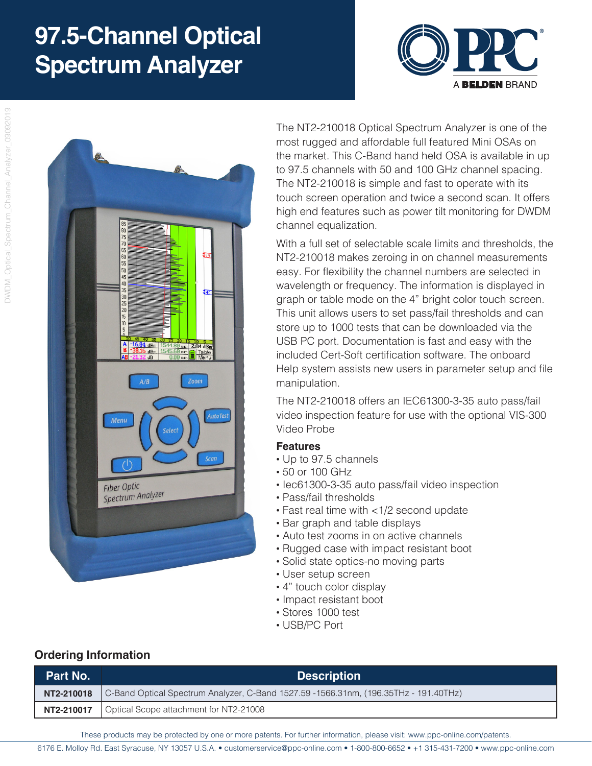# **97.5-Channel Optical Spectrum Analyzer**





The NT2-210018 Optical Spectrum Analyzer is one of the most rugged and affordable full featured Mini OSAs on the market. This C-Band hand held OSA is available in up to 97.5 channels with 50 and 100 GHz channel spacing. The NT2-210018 is simple and fast to operate with its touch screen operation and twice a second scan. It offers high end features such as power tilt monitoring for DWDM channel equalization.

With a full set of selectable scale limits and thresholds, the NT2-210018 makes zeroing in on channel measurements easy. For flexibility the channel numbers are selected in wavelength or frequency. The information is displayed in graph or table mode on the 4" bright color touch screen. This unit allows users to set pass/fail thresholds and can store up to 1000 tests that can be downloaded via the USB PC port. Documentation is fast and easy with the included Cert-Soft certification software. The onboard Help system assists new users in parameter setup and file manipulation.

The NT2-210018 offers an IEC61300-3-35 auto pass/fail video inspection feature for use with the optional VIS-300 Video Probe

#### **Features**

- Up to 97.5 channels
- 50 or 100 GHz
- Iec61300-3-35 auto pass/fail video inspection
- Pass/fail thresholds
- Fast real time with <1/2 second update
- Bar graph and table displays
- Auto test zooms in on active channels
- Rugged case with impact resistant boot
- Solid state optics-no moving parts
- User setup screen
- 4" touch color display
- Impact resistant boot
- Stores 1000 test
- USB/PC Port

#### **Ordering Information**

| Part No. | <b>Description</b>                                                                                |
|----------|---------------------------------------------------------------------------------------------------|
|          | NT2-210018   C-Band Optical Spectrum Analyzer, C-Band 1527.59 -1566.31nm, (196.35THz - 191.40THz) |
|          | NT2-210017   Optical Scope attachment for NT2-21008                                               |

These products may be protected by one or more patents. For further information, please visit: www.ppc-online.com/patents.